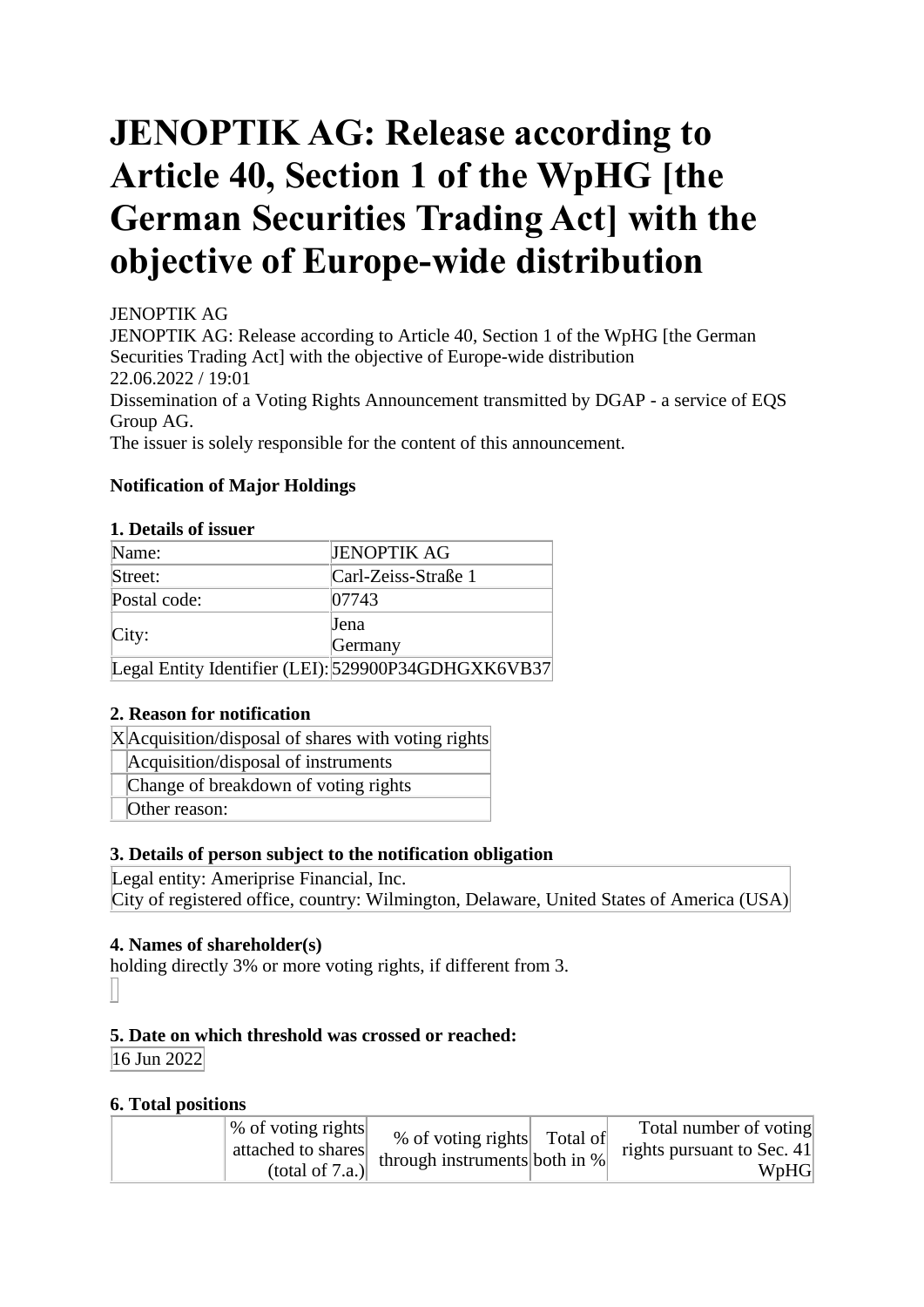# **JENOPTIK AG: Release according to Article 40, Section 1 of the WpHG [the German Securities Trading Act] with the objective of Europe-wide distribution**

# JENOPTIK AG

Group AG.

JENOPTIK AG: Release according to Article 40, Section 1 of the WpHG [the German Securities Trading Act] with the objective of Europe-wide distribution 22.06.2022 / 19:01 Dissemination of a Voting Rights Announcement transmitted by DGAP - a service of EQS

The issuer is solely responsible for the content of this announcement.

# **Notification of Major Holdings**

#### **1. Details of issuer**

| Name:        | <b>JENOPTIK AG</b>                                  |
|--------------|-----------------------------------------------------|
| Street:      | Carl-Zeiss-Straße 1                                 |
| Postal code: | 07743                                               |
|              | <b>Jena</b>                                         |
| City:        | Germany                                             |
|              | Legal Entity Identifier (LEI): 529900P34GDHGXK6VB37 |

## **2. Reason for notification**

X Acquisition/disposal of shares with voting rights

Acquisition/disposal of instruments

Change of breakdown of voting rights

Other reason:

## **3. Details of person subject to the notification obligation**

Legal entity: Ameriprise Financial, Inc. City of registered office, country: Wilmington, Delaware, United States of America (USA)

## **4. Names of shareholder(s)**

holding directly 3% or more voting rights, if different from 3.

## **5. Date on which threshold was crossed or reached:**

16 Jun 2022

## **6. Total positions**

| % of voting rights<br>attached to shares<br>(total of $7.a.$ ) | Total number of voting<br>% of voting rights Total of<br>rights pursuant to Sec. 41<br>' through instruments both in $%$<br>WpHG |
|----------------------------------------------------------------|----------------------------------------------------------------------------------------------------------------------------------|
|----------------------------------------------------------------|----------------------------------------------------------------------------------------------------------------------------------|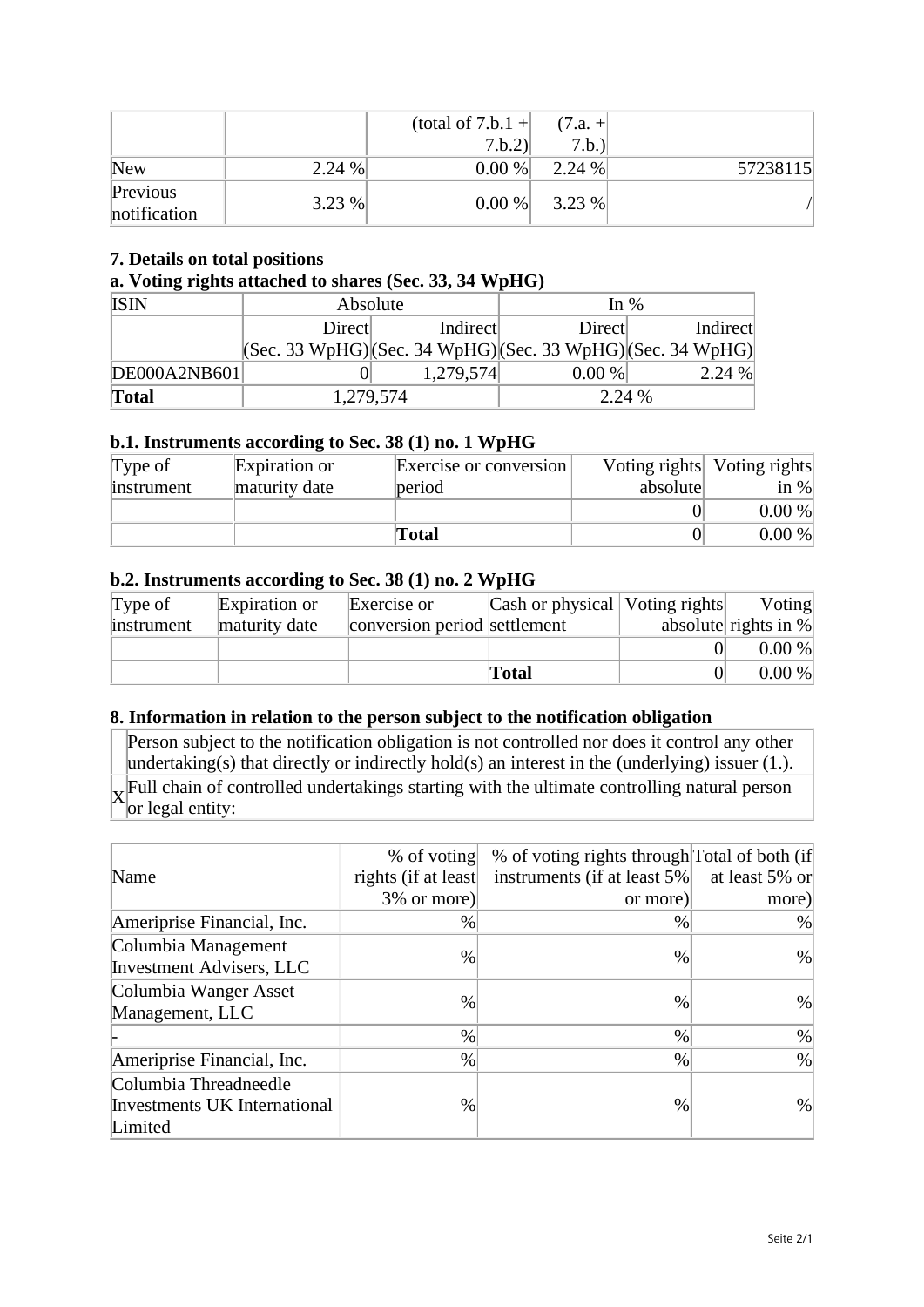|                          |       | (total of $7.b.1 +$<br>7.b.2 | $(7.a. +$<br>7.b. |          |
|--------------------------|-------|------------------------------|-------------------|----------|
| <b>New</b>               | 2.24% | 0.00 %                       | 2.24%             | 57238115 |
| Previous<br>notification | 3.23% | 0.00 %                       | 3.23 %            |          |

#### **7. Details on total positions**

#### **a. Voting rights attached to shares (Sec. 33, 34 WpHG)**

| <b>ISIN</b>  | Absolute                                                                                |           | In $%$ |          |
|--------------|-----------------------------------------------------------------------------------------|-----------|--------|----------|
|              | Direct                                                                                  | Indirect  | Direct | Indirect |
|              | $ ({\rm Sec. 33 WpHG}) ({\rm Sec. 34 WpHG}) ({\rm Sec. 33 WpHG}) ({\rm Sec. 34 WpHG}) $ |           |        |          |
| DE000A2NB601 |                                                                                         | 1,279,574 | 0.00 % | 2.24%    |
| <b>Total</b> |                                                                                         | 1,279,574 | 2.24 % |          |

#### **b.1. Instruments according to Sec. 38 (1) no. 1 WpHG**

| Type of    | Expiration or | Exercise or conversion |          | Voting rights Voting rights |
|------------|---------------|------------------------|----------|-----------------------------|
| instrument | maturity date | period                 | absolute | in $\%$                     |
|            |               |                        |          | 0.00 %                      |
|            |               | Total                  |          | 0.00 %                      |

#### **b.2. Instruments according to Sec. 38 (1) no. 2 WpHG**

| Type of    | Expiration or | Exercise or                  | Cash or physical   Voting rights | Voting                  |
|------------|---------------|------------------------------|----------------------------------|-------------------------|
| instrument | maturity date | conversion period settlement |                                  | absolute rights in $\%$ |
|            |               |                              |                                  | 0.00 %                  |
|            |               |                              | <b>Total</b>                     | 0.00 %                  |

#### **8. Information in relation to the person subject to the notification obligation**

Person subject to the notification obligation is not controlled nor does it control any other undertaking(s) that directly or indirectly hold(s) an interest in the (underlying) issuer (1.). X Full chain of controlled undertakings starting with the ultimate controlling natural person or legal entity:

|                                     | $%$ of voting       | % of voting rights through Total of both (if |                |
|-------------------------------------|---------------------|----------------------------------------------|----------------|
| Name                                | rights (if at least | instruments (if at least 5%)                 | at least 5% or |
|                                     | $3\%$ or more)      | or more)                                     | more)          |
| Ameriprise Financial, Inc.          | $\%$                | $\%$                                         | %              |
| Columbia Management                 | $\%$                |                                              | $\%$           |
| <b>Investment Advisers, LLC</b>     |                     | $\%$                                         |                |
| Columbia Wanger Asset               | $\%$                | $\%$                                         | $\%$           |
| Management, LLC                     |                     |                                              |                |
|                                     | %                   | $\%$                                         | $\%$           |
| Ameriprise Financial, Inc.          | $\%$                | $\%$                                         | $\%$           |
| Columbia Threadneedle               |                     |                                              |                |
| <b>Investments UK International</b> | $\%$                | $\frac{0}{0}$                                | $\frac{0}{0}$  |
| Limited                             |                     |                                              |                |